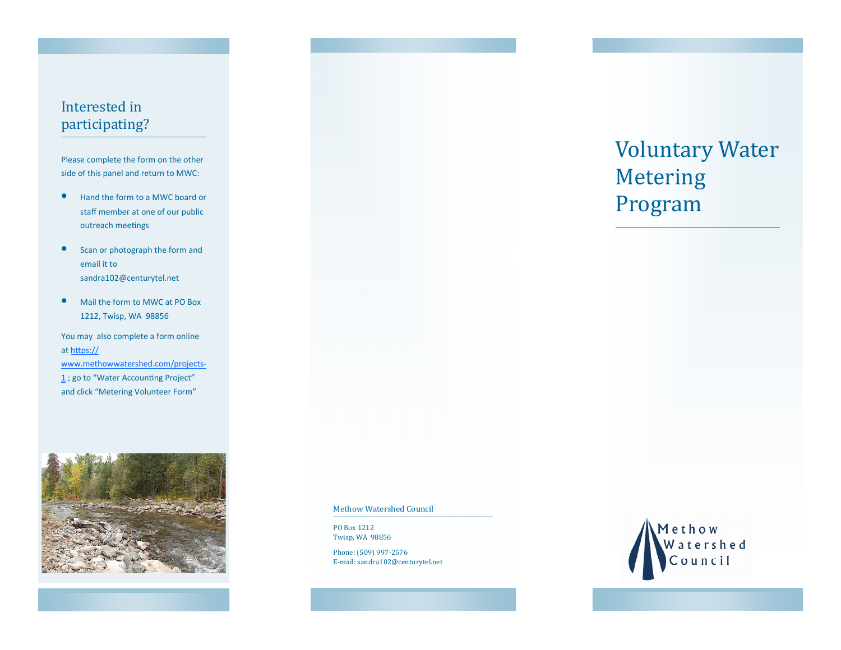# Interested in participating?

Please complete the form on the other side of this panel and return to MWC:

- Hand the form to a MWC board or staff member at one of our public outreach meetings
- Scan or photograph the form and email it to sandra102@centurytel.net
- Mail the form to MWC at PO Box 1212, Twisp, WA 98856

You may also complete a form online at https:// www.methowwatershed.com/projects- $1$ ; go to "Water Accounting Project" and click "Metering Volunteer Form"



#### Methow Watershed Council

PO Box 1212 Twisp, WA 98856

Phone: (509) 997-2576 E-mail: sandra102@centurytel.net 



# **Voluntary Water** Metering Program